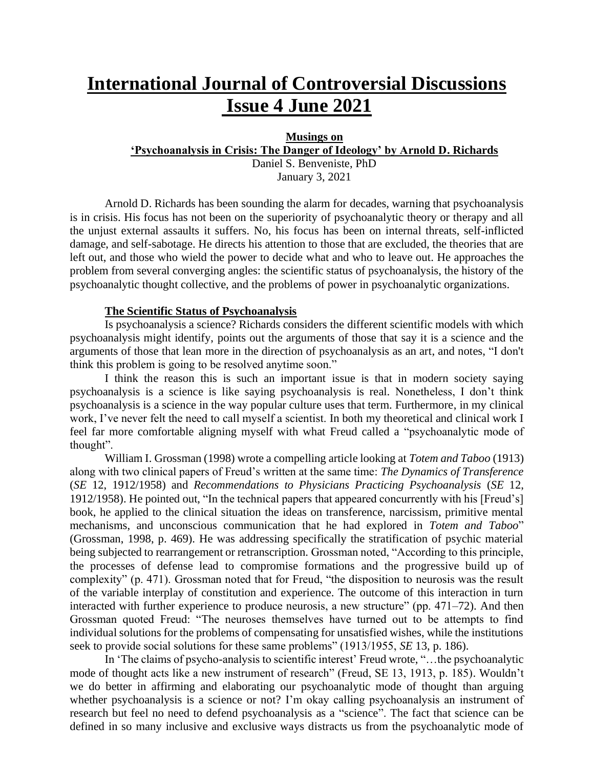# **International Journal of Controversial Discussions Issue 4 June 2021**

## **Musings on 'Psychoanalysis in Crisis: The Danger of Ideology' by Arnold D. Richards**

Daniel S. Benveniste, PhD January 3, 2021

Arnold D. Richards has been sounding the alarm for decades, warning that psychoanalysis is in crisis. His focus has not been on the superiority of psychoanalytic theory or therapy and all the unjust external assaults it suffers. No, his focus has been on internal threats, self-inflicted damage, and self-sabotage. He directs his attention to those that are excluded, the theories that are left out, and those who wield the power to decide what and who to leave out. He approaches the problem from several converging angles: the scientific status of psychoanalysis, the history of the psychoanalytic thought collective, and the problems of power in psychoanalytic organizations.

#### **The Scientific Status of Psychoanalysis**

Is psychoanalysis a science? Richards considers the different scientific models with which psychoanalysis might identify, points out the arguments of those that say it is a science and the arguments of those that lean more in the direction of psychoanalysis as an art, and notes, "I don't think this problem is going to be resolved anytime soon."

I think the reason this is such an important issue is that in modern society saying psychoanalysis is a science is like saying psychoanalysis is real. Nonetheless, I don't think psychoanalysis is a science in the way popular culture uses that term. Furthermore, in my clinical work, I've never felt the need to call myself a scientist. In both my theoretical and clinical work I feel far more comfortable aligning myself with what Freud called a "psychoanalytic mode of thought".

William I. Grossman (1998) wrote a compelling article looking at *Totem and Taboo* (1913) along with two clinical papers of Freud's written at the same time: *The Dynamics of Transference* (*SE* 12, 1912/1958) and *Recommendations to Physicians Practicing Psychoanalysis* (*SE* 12, 1912/1958). He pointed out, "In the technical papers that appeared concurrently with his [Freud's] book, he applied to the clinical situation the ideas on transference, narcissism, primitive mental mechanisms, and unconscious communication that he had explored in *Totem and Taboo*" (Grossman, 1998, p. 469). He was addressing specifically the stratification of psychic material being subjected to rearrangement or retranscription. Grossman noted, "According to this principle, the processes of defense lead to compromise formations and the progressive build up of complexity" (p. 471). Grossman noted that for Freud, "the disposition to neurosis was the result of the variable interplay of constitution and experience. The outcome of this interaction in turn interacted with further experience to produce neurosis, a new structure" (pp. 471–72). And then Grossman quoted Freud: "The neuroses themselves have turned out to be attempts to find individual solutions for the problems of compensating for unsatisfied wishes, while the institutions seek to provide social solutions for these same problems" (1913/1955, *SE* 13, p. 186).

In 'The claims of psycho-analysis to scientific interest' Freud wrote, "…the psychoanalytic mode of thought acts like a new instrument of research" (Freud, SE 13, 1913, p. 185). Wouldn't we do better in affirming and elaborating our psychoanalytic mode of thought than arguing whether psychoanalysis is a science or not? I'm okay calling psychoanalysis an instrument of research but feel no need to defend psychoanalysis as a "science". The fact that science can be defined in so many inclusive and exclusive ways distracts us from the psychoanalytic mode of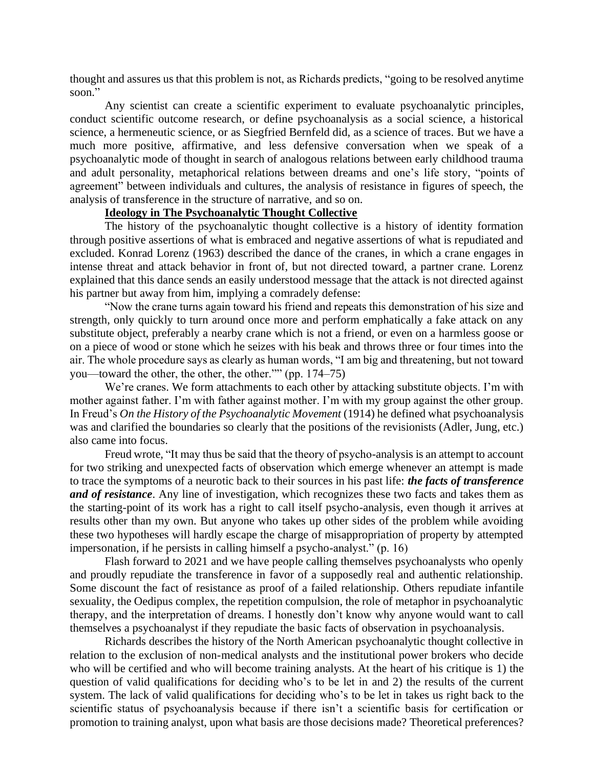thought and assures us that this problem is not, as Richards predicts, "going to be resolved anytime soon."

Any scientist can create a scientific experiment to evaluate psychoanalytic principles, conduct scientific outcome research, or define psychoanalysis as a social science, a historical science, a hermeneutic science, or as Siegfried Bernfeld did, as a science of traces. But we have a much more positive, affirmative, and less defensive conversation when we speak of a psychoanalytic mode of thought in search of analogous relations between early childhood trauma and adult personality, metaphorical relations between dreams and one's life story, "points of agreement" between individuals and cultures, the analysis of resistance in figures of speech, the analysis of transference in the structure of narrative, and so on.

#### **Ideology in The Psychoanalytic Thought Collective**

The history of the psychoanalytic thought collective is a history of identity formation through positive assertions of what is embraced and negative assertions of what is repudiated and excluded. Konrad Lorenz (1963) described the dance of the cranes, in which a crane engages in intense threat and attack behavior in front of, but not directed toward, a partner crane. Lorenz explained that this dance sends an easily understood message that the attack is not directed against his partner but away from him, implying a comradely defense:

"Now the crane turns again toward his friend and repeats this demonstration of his size and strength, only quickly to turn around once more and perform emphatically a fake attack on any substitute object, preferably a nearby crane which is not a friend, or even on a harmless goose or on a piece of wood or stone which he seizes with his beak and throws three or four times into the air. The whole procedure says as clearly as human words, "I am big and threatening, but not toward you—toward the other, the other, the other."" (pp. 174–75)

We're cranes. We form attachments to each other by attacking substitute objects. I'm with mother against father. I'm with father against mother. I'm with my group against the other group. In Freud's *On the History of the Psychoanalytic Movement* (1914) he defined what psychoanalysis was and clarified the boundaries so clearly that the positions of the revisionists (Adler, Jung, etc.) also came into focus.

Freud wrote, "It may thus be said that the theory of psycho-analysis is an attempt to account for two striking and unexpected facts of observation which emerge whenever an attempt is made to trace the symptoms of a neurotic back to their sources in his past life: *the facts of transference and of resistance*. Any line of investigation, which recognizes these two facts and takes them as the starting-point of its work has a right to call itself psycho-analysis, even though it arrives at results other than my own. But anyone who takes up other sides of the problem while avoiding these two hypotheses will hardly escape the charge of misappropriation of property by attempted impersonation, if he persists in calling himself a psycho-analyst." (p. 16)

Flash forward to 2021 and we have people calling themselves psychoanalysts who openly and proudly repudiate the transference in favor of a supposedly real and authentic relationship. Some discount the fact of resistance as proof of a failed relationship. Others repudiate infantile sexuality, the Oedipus complex, the repetition compulsion, the role of metaphor in psychoanalytic therapy, and the interpretation of dreams. I honestly don't know why anyone would want to call themselves a psychoanalyst if they repudiate the basic facts of observation in psychoanalysis.

Richards describes the history of the North American psychoanalytic thought collective in relation to the exclusion of non-medical analysts and the institutional power brokers who decide who will be certified and who will become training analysts. At the heart of his critique is 1) the question of valid qualifications for deciding who's to be let in and 2) the results of the current system. The lack of valid qualifications for deciding who's to be let in takes us right back to the scientific status of psychoanalysis because if there isn't a scientific basis for certification or promotion to training analyst, upon what basis are those decisions made? Theoretical preferences?